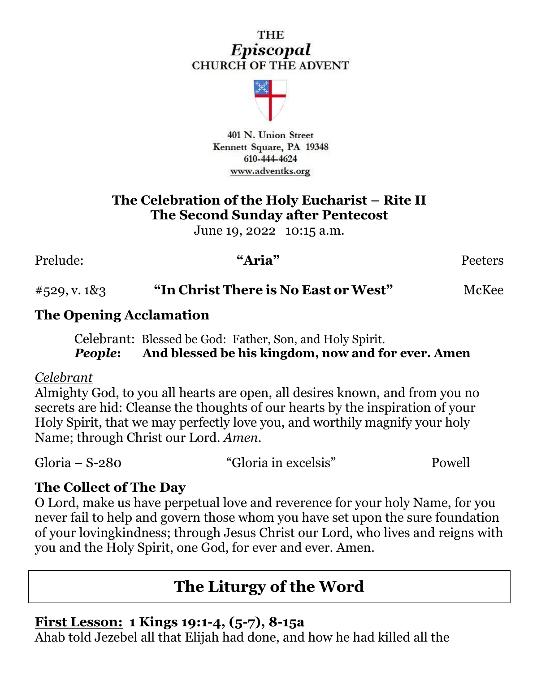#### **THE** Episcopal **CHURCH OF THE ADVENT**



401 N. Union Street Kennett Square, PA 19348 610-444-4624 www.adventks.org

#### **The Celebration of the Holy Eucharist – Rite II The Second Sunday after Pentecost**

June 19, 2022 10:15 a.m.

Prelude: **"Aria"** Peeters

#### #529, v. 1&3 **"In Christ There is No East or West"** McKee

#### **The Opening Acclamation**

Celebrant: Blessed be God: Father, Son, and Holy Spirit.  *People***: And blessed be his kingdom, now and for ever. Amen**

#### *Celebrant*

Almighty God, to you all hearts are open, all desires known, and from you no secrets are hid: Cleanse the thoughts of our hearts by the inspiration of your Holy Spirit, that we may perfectly love you, and worthily magnify your holy Name; through Christ our Lord. *Amen*.

Gloria – S-280 <sup>"Gloria</sup> in excelsis" Powell

#### **The Collect of The Day**

O Lord, make us have perpetual love and reverence for your holy Name, for you never fail to help and govern those whom you have set upon the sure foundation of your lovingkindness; through Jesus Christ our Lord, who lives and reigns with you and the Holy Spirit, one God, for ever and ever. Amen.

# **The Liturgy of the Word**

## **First Lesson: 1 Kings 19:1-4, (5-7), 8-15a**

Ahab told Jezebel all that Elijah had done, and how he had killed all the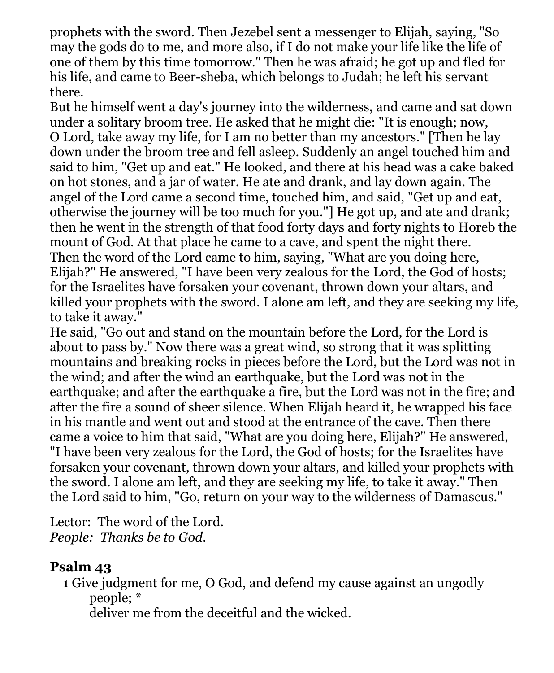prophets with the sword. Then Jezebel sent a messenger to Elijah, saying, "So may the gods do to me, and more also, if I do not make your life like the life of one of them by this time tomorrow." Then he was afraid; he got up and fled for his life, and came to Beer-sheba, which belongs to Judah; he left his servant there.

But he himself went a day's journey into the wilderness, and came and sat down under a solitary broom tree. He asked that he might die: "It is enough; now, O Lord, take away my life, for I am no better than my ancestors." [Then he lay down under the broom tree and fell asleep. Suddenly an angel touched him and said to him, "Get up and eat." He looked, and there at his head was a cake baked on hot stones, and a jar of water. He ate and drank, and lay down again. The angel of the Lord came a second time, touched him, and said, "Get up and eat, otherwise the journey will be too much for you."] He got up, and ate and drank; then he went in the strength of that food forty days and forty nights to Horeb the mount of God. At that place he came to a cave, and spent the night there. Then the word of the Lord came to him, saying, "What are you doing here, Elijah?" He answered, "I have been very zealous for the Lord, the God of hosts; for the Israelites have forsaken your covenant, thrown down your altars, and killed your prophets with the sword. I alone am left, and they are seeking my life, to take it away."

He said, "Go out and stand on the mountain before the Lord, for the Lord is about to pass by." Now there was a great wind, so strong that it was splitting mountains and breaking rocks in pieces before the Lord, but the Lord was not in the wind; and after the wind an earthquake, but the Lord was not in the earthquake; and after the earthquake a fire, but the Lord was not in the fire; and after the fire a sound of sheer silence. When Elijah heard it, he wrapped his face in his mantle and went out and stood at the entrance of the cave. Then there came a voice to him that said, "What are you doing here, Elijah?" He answered, "I have been very zealous for the Lord, the God of hosts; for the Israelites have forsaken your covenant, thrown down your altars, and killed your prophets with the sword. I alone am left, and they are seeking my life, to take it away." Then the Lord said to him, "Go, return on your way to the wilderness of Damascus."

Lector: The word of the Lord. *People: Thanks be to God.*

#### **Psalm 43**

1 Give judgment for me, O God, and defend my cause against an ungodly people; \*

deliver me from the deceitful and the wicked.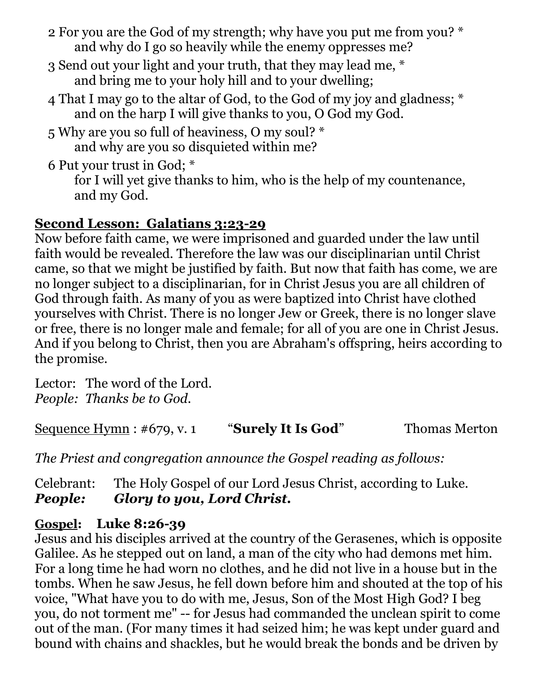- 2 For you are the God of my strength; why have you put me from you? \* and why do I go so heavily while the enemy oppresses me?
- 3 Send out your light and your truth, that they may lead me, \* and bring me to your holy hill and to your dwelling;
- 4 That I may go to the altar of God, to the God of my joy and gladness; \* and on the harp I will give thanks to you, O God my God.
- 5 Why are you so full of heaviness, O my soul? \* and why are you so disquieted within me?
- 6 Put your trust in God; \*

for I will yet give thanks to him, who is the help of my countenance, and my God.

## **Second Lesson: Galatians 3:23-29**

Now before faith came, we were imprisoned and guarded under the law until faith would be revealed. Therefore the law was our disciplinarian until Christ came, so that we might be justified by faith. But now that faith has come, we are no longer subject to a disciplinarian, for in Christ Jesus you are all children of God through faith. As many of you as were baptized into Christ have clothed yourselves with Christ. There is no longer Jew or Greek, there is no longer slave or free, there is no longer male and female; for all of you are one in Christ Jesus. And if you belong to Christ, then you are Abraham's offspring, heirs according to the promise.

Lector: The word of the Lord. *People: Thanks be to God.*

Sequence Hymn : #679, v. 1 "**Surely It Is God**" Thomas Merton

*The Priest and congregation announce the Gospel reading as follows:*

Celebrant: The Holy Gospel of our Lord Jesus Christ, according to Luke. *People: Glory to you, Lord Christ.*

## **Gospel: Luke 8:26-39**

Jesus and his disciples arrived at the country of the Gerasenes, which is opposite Galilee. As he stepped out on land, a man of the city who had demons met him. For a long time he had worn no clothes, and he did not live in a house but in the tombs. When he saw Jesus, he fell down before him and shouted at the top of his voice, "What have you to do with me, Jesus, Son of the Most High God? I beg you, do not torment me" -- for Jesus had commanded the unclean spirit to come out of the man. (For many times it had seized him; he was kept under guard and bound with chains and shackles, but he would break the bonds and be driven by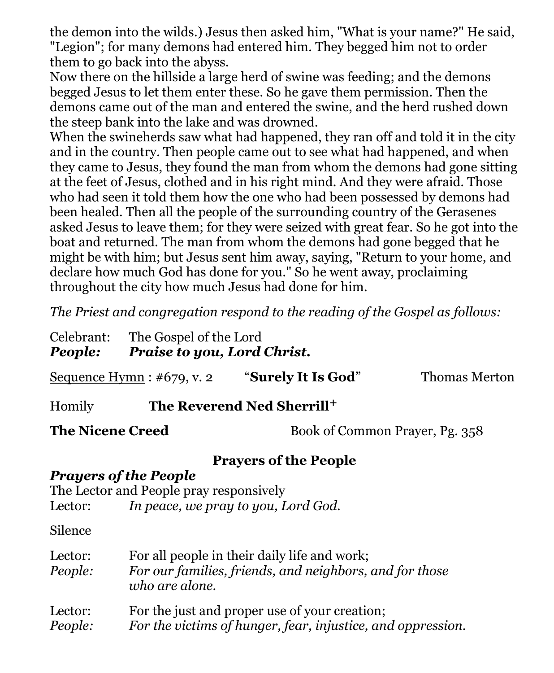the demon into the wilds.) Jesus then asked him, "What is your name?" He said, "Legion"; for many demons had entered him. They begged him not to order them to go back into the abyss.

Now there on the hillside a large herd of swine was feeding; and the demons begged Jesus to let them enter these. So he gave them permission. Then the demons came out of the man and entered the swine, and the herd rushed down the steep bank into the lake and was drowned.

When the swineherds saw what had happened, they ran off and told it in the city and in the country. Then people came out to see what had happened, and when they came to Jesus, they found the man from whom the demons had gone sitting at the feet of Jesus, clothed and in his right mind. And they were afraid. Those who had seen it told them how the one who had been possessed by demons had been healed. Then all the people of the surrounding country of the Gerasenes asked Jesus to leave them; for they were seized with great fear. So he got into the boat and returned. The man from whom the demons had gone begged that he might be with him; but Jesus sent him away, saying, "Return to your home, and declare how much God has done for you." So he went away, proclaiming throughout the city how much Jesus had done for him.

*The Priest and congregation respond to the reading of the Gospel as follows:*

| <b>People:</b>                                 | Celebrant: The Gospel of the Lord<br>Praise to you, Lord Christ. |                                        |                                |  |
|------------------------------------------------|------------------------------------------------------------------|----------------------------------------|--------------------------------|--|
|                                                | Sequence Hymn: $\#679$ , v. 2                                    | "Surely It Is God"                     | <b>Thomas Merton</b>           |  |
| Homily                                         |                                                                  | The Reverend Ned Sherrill <sup>+</sup> |                                |  |
| <b>The Nicene Creed</b>                        |                                                                  |                                        | Book of Common Prayer, Pg. 358 |  |
|                                                |                                                                  | <b>Prayers of the People</b>           |                                |  |
|                                                | <b>Prayers of the People</b>                                     |                                        |                                |  |
|                                                | The Lector and People pray responsively                          |                                        |                                |  |
| In peace, we pray to you, Lord God.<br>Lector: |                                                                  |                                        |                                |  |

#### Silence

| Lector:<br>People: | For all people in their daily life and work;<br>For our families, friends, and neighbors, and for those<br>who are alone. |
|--------------------|---------------------------------------------------------------------------------------------------------------------------|
| Lector:            | For the just and proper use of your creation;                                                                             |
| People:            | For the victims of hunger, fear, injustice, and oppression.                                                               |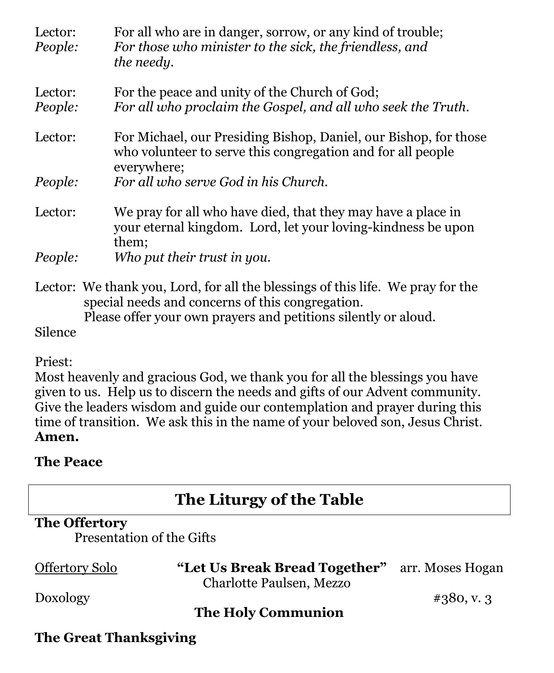| Lector:<br>People: | For all who are in danger, sorrow, or any kind of trouble;<br>For those who minister to the sick, the friendless, and<br>the needy.            |
|--------------------|------------------------------------------------------------------------------------------------------------------------------------------------|
| Lector:<br>People: | For the peace and unity of the Church of God;<br>For all who proclaim the Gospel, and all who seek the Truth.                                  |
| Lector:            | For Michael, our Presiding Bishop, Daniel, our Bishop, for those<br>who volunteer to serve this congregation and for all people<br>everywhere; |
| People:            | For all who serve God in his Church.                                                                                                           |
| Lector:            | We pray for all who have died, that they may have a place in<br>your eternal kingdom. Lord, let your loving-kindness be upon<br>them;          |
| People:            | Who put their trust in you.                                                                                                                    |
|                    | Lector: We thank you, Lord, for all the blessings of this life. We pray for the<br>special needs and concerns of this congregation.            |

Please offer your own prayers and petitions silently or aloud.

Silence

Priest:

Most heavenly and gracious God, we thank you for all the blessings you have given to us. Help us to discern the needs and gifts of our Advent community. Give the leaders wisdom and guide our contemplation and prayer during this time of transition. We ask this in the name of your beloved son, Jesus Christ. **Amen.**

## **The Peace**

| The Liturgy of the Table      |                                                           |                  |
|-------------------------------|-----------------------------------------------------------|------------------|
| <b>The Offertory</b>          |                                                           |                  |
| Presentation of the Gifts     |                                                           |                  |
| Offertory Solo                | "Let Us Break Bread Together"<br>Charlotte Paulsen, Mezzo | arr. Moses Hogan |
| Doxology                      |                                                           | $\#380, v.3$     |
|                               | <b>The Holy Communion</b>                                 |                  |
| <b>The Great Thanksgiving</b> |                                                           |                  |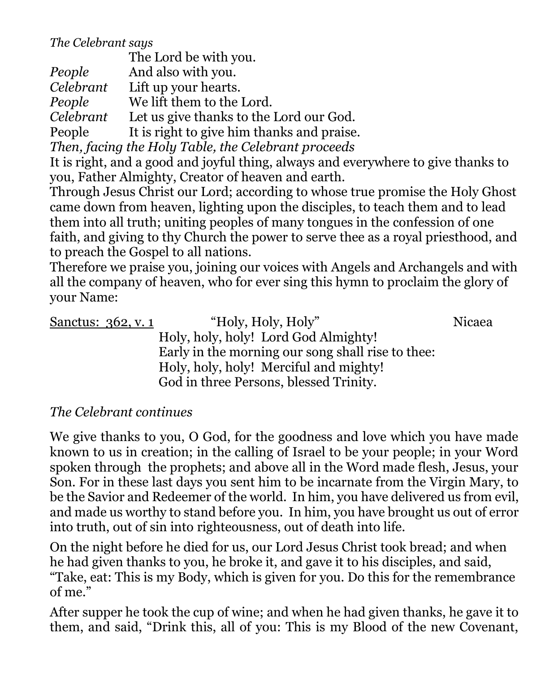#### *The Celebrant says*

The Lord be with you.

| People | And also with you. |
|--------|--------------------|
|--------|--------------------|

*Celebrant* Lift up your hearts.

*People* We lift them to the Lord.

*Celebrant* Let us give thanks to the Lord our God.

People It is right to give him thanks and praise.

*Then, facing the Holy Table, the Celebrant proceeds*

It is right, and a good and joyful thing, always and everywhere to give thanks to you, Father Almighty, Creator of heaven and earth.

Through Jesus Christ our Lord; according to whose true promise the Holy Ghost came down from heaven, lighting upon the disciples, to teach them and to lead them into all truth; uniting peoples of many tongues in the confession of one faith, and giving to thy Church the power to serve thee as a royal priesthood, and to preach the Gospel to all nations.

Therefore we praise you, joining our voices with Angels and Archangels and with all the company of heaven, who for ever sing this hymn to proclaim the glory of your Name:

| "Holy, Holy, Holy"                                | Nicaea |
|---------------------------------------------------|--------|
| Holy, holy, holy! Lord God Almighty!              |        |
| Early in the morning our song shall rise to thee: |        |
| Holy, holy, holy! Merciful and mighty!            |        |
| God in three Persons, blessed Trinity.            |        |
|                                                   |        |

#### *The Celebrant continues*

We give thanks to you, O God, for the goodness and love which you have made known to us in creation; in the calling of Israel to be your people; in your Word spoken through the prophets; and above all in the Word made flesh, Jesus, your Son. For in these last days you sent him to be incarnate from the Virgin Mary, to be the Savior and Redeemer of the world. In him, you have delivered us from evil, and made us worthy to stand before you. In him, you have brought us out of error into truth, out of sin into righteousness, out of death into life.

On the night before he died for us, our Lord Jesus Christ took bread; and when he had given thanks to you, he broke it, and gave it to his disciples, and said, "Take, eat: This is my Body, which is given for you. Do this for the remembrance of me."

After supper he took the cup of wine; and when he had given thanks, he gave it to them, and said, "Drink this, all of you: This is my Blood of the new Covenant,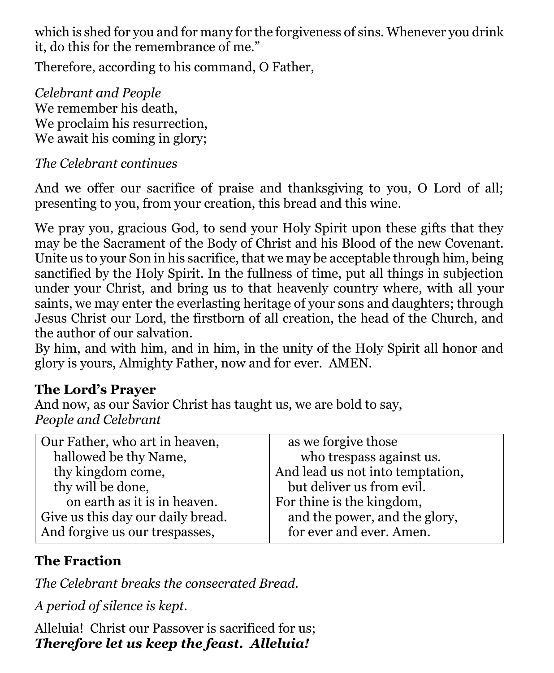which is shed for you and for many for the forgiveness of sins. Whenever you drink it, do this for the remembrance of me."

Therefore, according to his command, O Father,

*Celebrant and People* We remember his death, We proclaim his resurrection, We await his coming in glory;

## *The Celebrant continues*

And we offer our sacrifice of praise and thanksgiving to you, O Lord of all; presenting to you, from your creation, this bread and this wine.

We pray you, gracious God, to send your Holy Spirit upon these gifts that they may be the Sacrament of the Body of Christ and his Blood of the new Covenant. Unite us to your Son in his sacrifice, that we may be acceptable through him, being sanctified by the Holy Spirit. In the fullness of time, put all things in subjection under your Christ, and bring us to that heavenly country where, with all your saints, we may enter the everlasting heritage of your sons and daughters; through Jesus Christ our Lord, the firstborn of all creation, the head of the Church, and the author of our salvation.

By him, and with him, and in him, in the unity of the Holy Spirit all honor and glory is yours, Almighty Father, now and for ever. AMEN.

## **The Lord's Prayer**

And now, as our Savior Christ has taught us, we are bold to say, *People and Celebrant*

| Our Father, who art in heaven,    | as we forgive those              |
|-----------------------------------|----------------------------------|
| hallowed be thy Name,             | who trespass against us.         |
| thy kingdom come,                 | And lead us not into temptation, |
| thy will be done,                 | but deliver us from evil.        |
| on earth as it is in heaven.      | For thine is the kingdom,        |
| Give us this day our daily bread. | and the power, and the glory,    |
| And forgive us our trespasses,    | for ever and ever. Amen.         |

# **The Fraction**

*The Celebrant breaks the consecrated Bread.*

*A period of silence is kept.*

Alleluia! Christ our Passover is sacrificed for us; *Therefore let us keep the feast. Alleluia!*